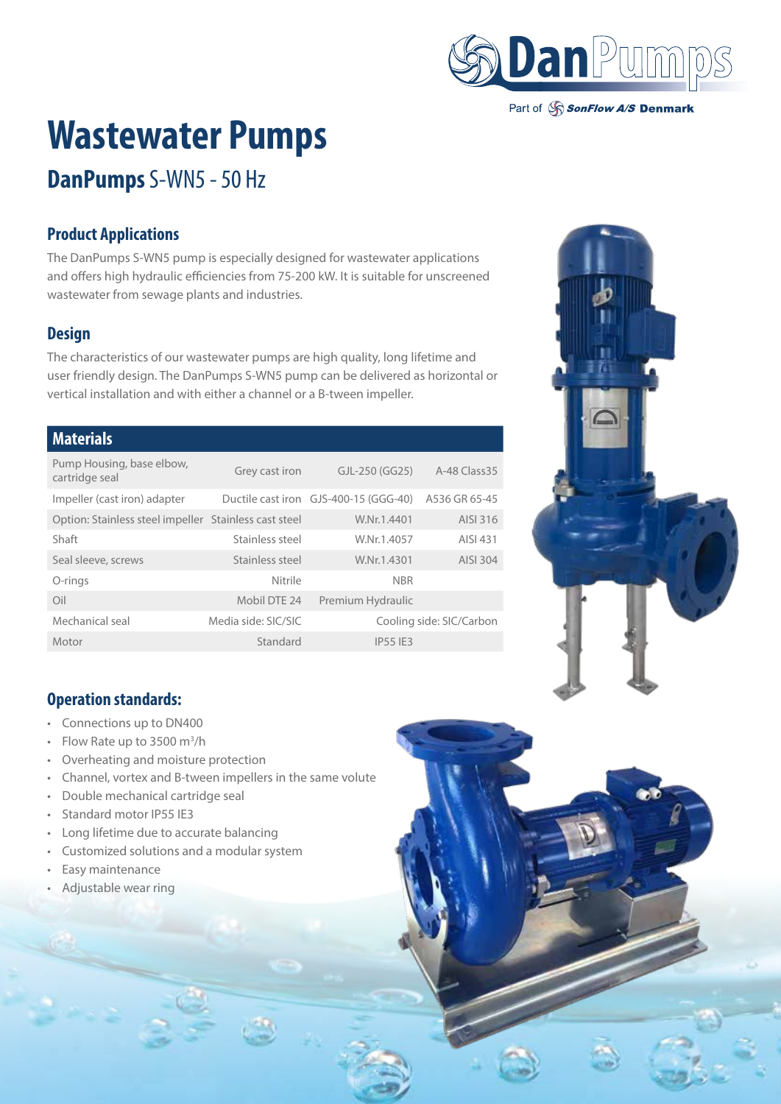

Part of SonFlow A/S Denmark

# **Wastewater Pumps**

## **DanPumps** S-WN5 - 50 Hz

### **Product Applications**

The DanPumps S-WN5 pump is especially designed for wastewater applications and offers high hydraulic efficiencies from 75-200 kW. It is suitable for unscreened wastewater from sewage plants and industries.

### **Design**

The characteristics of our wastewater pumps are high quality, long lifetime and user friendly design. The DanPumps S-WN5 pump can be delivered as horizontal or vertical installation and with either a channel or a B-tween impeller.

#### **Materials**

| Pump Housing, base elbow,<br>cartridge seal           | Grey cast iron      | GJL-250 (GG25)                        | A-48 Class 35            |  |
|-------------------------------------------------------|---------------------|---------------------------------------|--------------------------|--|
| Impeller (cast iron) adapter                          |                     | Ductile cast iron GJS-400-15 (GGG-40) | A536 GR 65-45            |  |
| Option: Stainless steel impeller Stainless cast steel |                     | W.Nr.1.4401                           | AISI 316                 |  |
| Shaft                                                 | Stainless steel     | W.Nr.1.4057                           | AISI 431                 |  |
| Seal sleeve, screws                                   | Stainless steel     | W.Nr.1.4301                           | AISI 304                 |  |
| O-rings                                               | Nitrile             | <b>NBR</b>                            |                          |  |
| Oil                                                   | Mobil DTE 24        | Premium Hydraulic                     |                          |  |
| Mechanical seal                                       | Media side: SIC/SIC |                                       | Cooling side: SIC/Carbon |  |
| Motor                                                 | Standard            | <b>IP55 IF3</b>                       |                          |  |



### **Operation standards:**

- Connections up to DN400
- Flow Rate up to 3500  $m^3/h$
- Overheating and moisture protection
- Channel, vortex and B-tween impellers in the same volute
- Double mechanical cartridge seal
- Standard motor IP55 IE3
- Long lifetime due to accurate balancing
- Customized solutions and a modular system
- Easy maintenance
- Adjustable wear ring